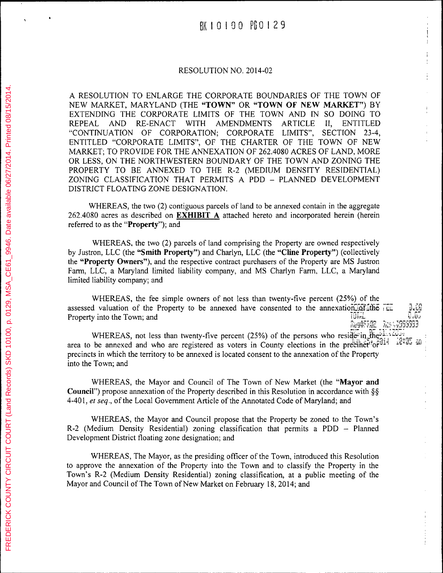#### RESOLUTION NO. 2014-02

A RESOLUTION TO ENLARGE THE CORPORATE BOUNDARIES OF THE TOWN OF NEW MARKET, MARYLAND (THE "TOWN" OR "TOWN OF NEW MARKET") BY EXTENDING THE CORPORATE LIMITS OF THE TOWN AND IN SO DOING TO **ARTICLE REPEAL AND** RE-ENACT **WITH AMENDMENTS** П. **ENTITLED** "CONTINUATION OF CORPORATION; CORPORATE LIMITS", SECTION 23-4, ENTITLED "CORPORATE LIMITS", OF THE CHARTER OF THE TOWN OF NEW MARKET; TO PROVIDE FOR THE ANNEXATION OF 262.4080 ACRES OF LAND, MORE OR LESS, ON THE NORTHWESTERN BOUNDARY OF THE TOWN AND ZONING THE PROPERTY TO BE ANNEXED TO THE R-2 (MEDIUM DENSITY RESIDENTIAL) ZONING CLASSIFICATION THAT PERMITS A PDD - PLANNED DEVELOPMENT DISTRICT FLOATING ZONE DESIGNATION.

WHEREAS, the two (2) contiguous parcels of land to be annexed contain in the aggregate 262.4080 acres as described on **EXHIBIT** A attached hereto and incorporated herein (herein referred to as the "**Property**"); and

WHEREAS, the two (2) parcels of land comprising the Property are owned respectively by Justron, LLC (the "Smith Property") and Charlyn, LLC (the "Cline Property") (collectively the "Property Owners"), and the respective contract purchasers of the Property are MS Justron Farm, LLC, a Maryland limited liability company, and MS Charlyn Farm, LLC, a Maryland limited liability company; and

WHEREAS, the fee simple owners of not less than twenty-five percent (25%) of the assessed valuation of the Property to be annexed have consented to the annexation of the **Illim** Property into the Town; and 

WHEREAS, not less than twenty-five percent (25%) of the persons who reside in the lawser area to be annexed and who are registered as voters in County elections in the precinct'or<sup>014</sup> precincts in which the territory to be annexed is located consent to the annexation of the Property into the Town; and

ag<br>Deb

WHEREAS, the Mayor and Council of The Town of New Market (the "Mayor and **Council**") propose annexation of the Property described in this Resolution in accordance with  $\S$ 4-401, et seq., of the Local Government Article of the Annotated Code of Maryland; and

WHEREAS, the Mayor and Council propose that the Property be zoned to the Town's R-2 (Medium Density Residential) zoning classification that permits a PDD – Planned Development District floating zone designation; and

WHEREAS, The Mayor, as the presiding officer of the Town, introduced this Resolution to approve the annexation of the Property into the Town and to classify the Property in the Town's R-2 (Medium Density Residential) zoning classification, at a public meeting of the Mayor and Council of The Town of New Market on February 18, 2014; and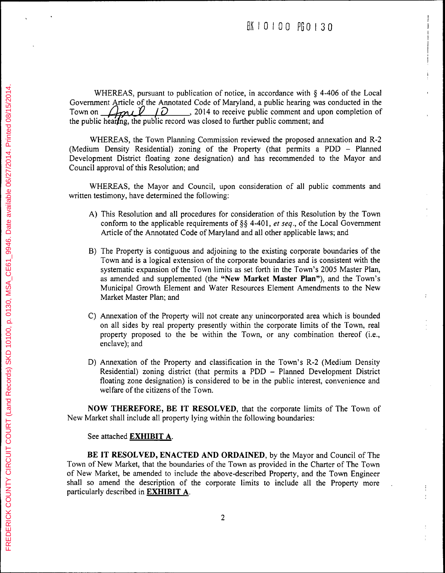WHEREAS, pursuant to publication of notice, in accordance with § 4-406 of the Local Government Article of the Annotated Code of Maryland, a public hearing was conducted in the 

WHEREAS, the Town Planning Commission reviewed the proposed annexation and R-2 (Medium Density Residential) zoning of the Property (that permits a PDD - Planned Development District floating zone designation) and has recommended to the Mayor and Council approval of this Resolution; and

WHEREAS, the Mayor and Council, upon consideration of all public comments and written testimony, have determined the following:

- A) This Resolution and all procedures for consideration of this Resolution by the Town conform to the applicable requirements of §§ 4-401, et seq., of the Local Government Article of the Annotated Code of Maryland and all other applicable laws; and
- B) The Property is contiguous and adjoining to the existing corporate boundaries of the Town and is a logical extension of the corporate boundaries and is consistent with the systematic expansion of the Town limits as set forth in the Town's 2005 Master Plan, as amended and supplemented (the "New Market Master Plan"), and the Town's Municipal Growth Element and Water Resources Element Amendments to the New Market Master Plan; and
- C) Annexation of the Property will not create any unincorporated area which is bounded on all sides by real property presently within the corporate limits of the Town, real property proposed to the be within the Town, or any combination thereof (i.e., enclave); and
- D) Annexation of the Property and classification in the Town's R-2 (Medium Density Residential) zoning district (that permits a PDD – Planned Development District floating zone designation) is considered to be in the public interest, convenience and welfare of the citizens of the Town.

**NOW THEREFORE, BE IT RESOLVED, that the corporate limits of The Town of** New Market shall include all property lying within the following boundaries:

See attached EXHIBIT A.

**BE IT RESOLVED, ENACTED AND ORDAINED, by the Mayor and Council of The** Town of New Market, that the boundaries of the Town as provided in the Charter of The Town of New Market, be amended to include the above-described Property, and the Town Engineer shall so amend the description of the corporate limits to include all the Property more particularly described in **EXHIBIT** A.

Ţ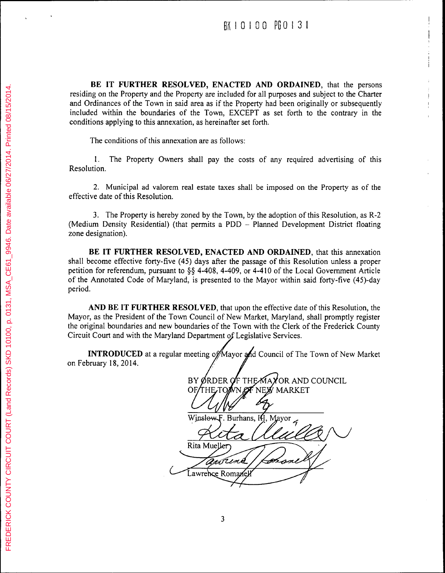BE IT FURTHER RESOLVED, ENACTED AND ORDAINED, that the persons residing on the Property and the Property are included for all purposes and subject to the Charter and Ordinances of the Town in said area as if the Property had been originally or subsequently included within the boundaries of the Town, EXCEPT as set forth to the contrary in the conditions applying to this annexation, as hereinafter set forth.

The conditions of this annexation are as follows:

The Property Owners shall pay the costs of any required advertising of this 1. Resolution.

2. Municipal ad valorem real estate taxes shall be imposed on the Property as of the effective date of this Resolution.

3. The Property is hereby zoned by the Town, by the adoption of this Resolution, as R-2 (Medium Density Residential) (that permits a PDD - Planned Development District floating zone designation).

BE IT FURTHER RESOLVED, ENACTED AND ORDAINED, that this annexation shall become effective forty-five (45) days after the passage of this Resolution unless a proper petition for referendum, pursuant to §§ 4-408, 4-409, or 4-410 of the Local Government Article of the Annotated Code of Maryland, is presented to the Mayor within said forty-five (45)-day period.

AND BE IT FURTHER RESOLVED, that upon the effective date of this Resolution, the Mayor, as the President of the Town Council of New Market, Maryland, shall promptly register the original boundaries and new boundaries of the Town with the Clerk of the Frederick County Circuit Court and with the Maryland Department of Legislative Services.

**INTRODUCED** at a regular meeting of Mayor and Council of The Town of New Market on February 18, 2014.

BY ØRDER OF THE MAYOR AND COUNCIL THE TOWN OF NEW MARKET OF. Winslow F. Burhans, III, Mayor Rita Mueller andena .<br>Com

Lawrence Romanel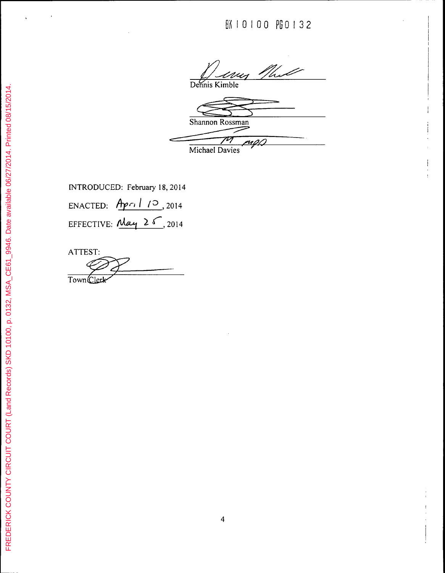Ť  $\bar{f}$ 

my Thit Dennis Kimble

Shannon Rossman  $\neq$ Michael Davies rago

INTRODUCED: February 18, 2014 ENACTED:  $Apc110$ , 2014 EFFECTIVE: May 25, 2014

ATTEST:

TownClerk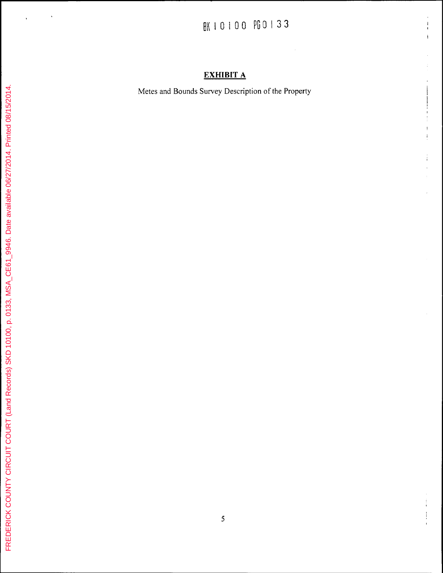$\langle \cdot, \cdot \rangle$ 

 $\frac{1}{1}$  $\mathbf{I}$ 

 $\mathbf i$ 

 $\sim$ 

 $\alpha$  $\frac{1}{4}$  $\frac{1}{2}$ 

#### **EXHIBIT A**

Metes and Bounds Survey Description of the Property

 $\ddot{\phantom{a}}$ 

 $\hat{\mathbf{r}}$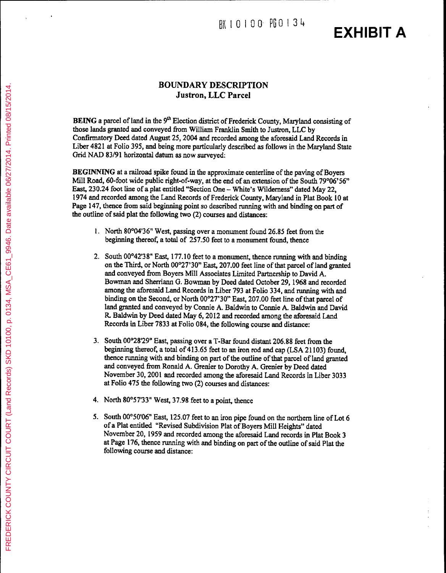#### **BOUNDARY DESCRIPTION Justron, LLC Parcel**

**BEING** a parcel of land in the  $9<sup>th</sup>$  Election district of Frederick County, Maryland consisting of those lands granted and conveyed from William Franklin Smith to Justron, LLC by Confirmatory Deed dated August 25, 2004 and recorded among the aforesaid Land Records in Liber 4821 at Folio 395, and being more particularly described as follows in the Maryland State Grid NAD 83/91 horizontal datum as now surveyed:

BEGINNING at a railroad spike found in the approximate centerline of the paving of Boyers Mill Road, 60-foot wide public right-of-way, at the end of an extension of the South 79°06'56" East, 230.24 foot line of a plat entitled "Section One - White's Wilderness" dated May 22, 1974 and recorded among the Land Records of Frederick County, Maryland in Plat Book 10 at Page 147, thence from said beginning point so described running with and binding on part of the outline of said plat the following two (2) courses and distances:

- 1. North 80°04'36" West, passing over a monument found 26.85 feet from the beginning thereof, a total of 257.50 feet to a monument found, thence
- 2. South 00°42'38" East, 177.10 feet to a monument, thence running with and binding on the Third, or North 00°27'30" East, 207.00 feet line of that parcel of land granted and conveyed from Boyers Mill Associates Limited Partnership to David A. Bowman and Sherriann G. Bowman by Deed dated October 29, 1968 and recorded among the aforesaid Land Records in Liber 793 at Folio 334, and running with and binding on the Second, or North 00°27'30" East, 207.00 feet line of that parcel of land granted and conveyed by Connie A. Baldwin to Connie A. Baldwin and David R. Baldwin by Deed dated May 6, 2012 and recorded among the aforesaid Land Records in Liber 7833 at Folio 084, the following course and distance:
- 3. South 00°28'29" East, passing over a T-Bar found distant 206.88 feet from the beginning thereof, a total of 413.65 feet to an iron rod and cap (LSA 21103) found, thence running with and binding on part of the outline of that parcel of land granted and conveyed from Ronald A. Grenier to Dorothy A. Grenier by Deed dated November 30, 2001 and recorded among the aforesaid Land Records in Liber 3033 at Folio 475 the following two (2) courses and distances:
- 4. North 80°57'33" West, 37.98 feet to a point, thence
- 5. South 00°50'06" East, 125.07 feet to an iron pipe found on the northern line of Lot 6 of a Plat entitled "Revised Subdivision Plat of Boyers Mill Heights" dated November 20, 1959 and recorded among the aforesaid Land records in Plat Book 3 at Page 176, thence running with and binding on part of the outline of said Plat the following course and distance: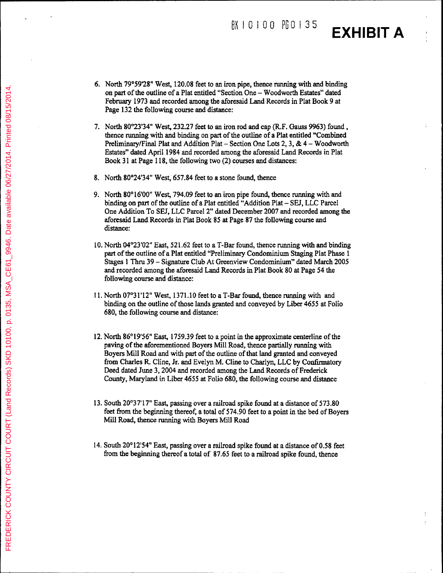**EXHIBIT A** 

 $\frac{1}{1}$ 

- 6. North 79°59'28" West, 120.08 feet to an iron pipe, thence running with and binding on part of the outline of a Plat entitled "Section One - Woodworth Estates" dated February 1973 and recorded among the aforesaid Land Records in Plat Book 9 at Page 132 the following course and distance:
- 7. North 80°23'34" West, 232.27 feet to an iron rod and cap (R.F. Gauss 9963) found. thence running with and binding on part of the outline of a Plat entitled "Combined" Preliminary/Final Plat and Addition Plat - Section One Lots 2, 3, &  $4 -$  Woodworth Estates" dated April 1984 and recorded among the aforesaid Land Records in Plat Book 31 at Page 118, the following two (2) courses and distances:
- 8. North 80°24'34" West, 657.84 feet to a stone found, thence
- 9. North 80°16'00" West, 794.09 feet to an iron pipe found, thence running with and binding on part of the outline of a Plat entitled "Addition Plat – SEJ, LLC Parcel One Addition To SEJ, LLC Parcel 2" dated December 2007 and recorded among the aforesaid Land Records in Plat Book 85 at Page 87 the following course and distance:
- 10. North 04°23'02" East, 521.62 feet to a T-Bar found, thence running with and binding part of the outline of a Plat entitled "Preliminary Condominium Staging Plat Phase 1 Stages 1 Thru 39 - Signature Club At Greenview Condominium" dated March 2005 and recorded among the aforesaid Land Records in Plat Book 80 at Page 54 the following course and distance:
- 11. North 07°31'12" West, 1371.10 feet to a T-Bar found, thence running with and binding on the outline of those lands granted and conveyed by Liber 4655 at Folio 680, the following course and distance:
- 12. North 86°19'56" East, 1759.39 feet to a point in the approximate centerline of the paving of the aforementioned Boyers Mill Road, thence partially running with Boyers Mill Road and with part of the outline of that land granted and conveyed from Charles R. Cline, Jr. and Evelyn M. Cline to Charlyn, LLC by Confirmatory Deed dated June 3, 2004 and recorded among the Land Records of Frederick County, Maryland in Liber 4655 at Folio 680, the following course and distance
- 13. South 20°37'17" East, passing over a railroad spike found at a distance of 573.80 feet from the beginning thereof, a total of 574.90 feet to a point in the bed of Boyers Mill Road, thence running with Boyers Mill Road
- 14. South 20°12'54" East, passing over a railroad spike found at a distance of 0.58 feet from the beginning thereof a total of 87.65 feet to a railroad spike found, thence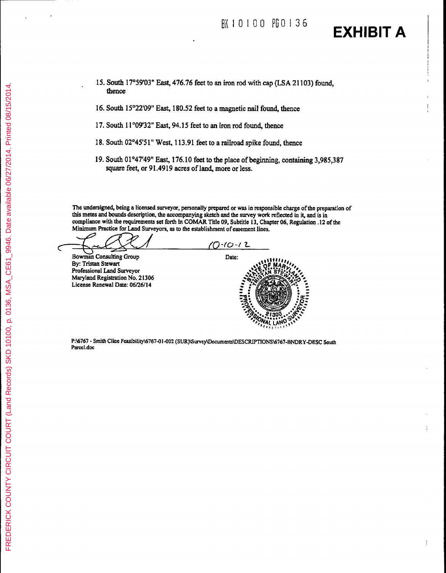$\perp$ 

- 15. South 17°59'03" East, 476.76 feet to an iron rod with cap (LSA 21103) found, thence
- 16. South 15°22'09" East, 180.52 feet to a magnetic nail found, thence
- 17. South 11°09'32" East, 94.15 feet to an iron rod found, thence
- 18. South 02°45'51" West, 113.91 feet to a railroad spike found, thence
- 19. South 01°47'49" East, 176.10 feet to the place of beginning, containing 3,985,387 square feet, or 91.4919 acres of land, more or less.

The undersigned, being a licensed surveyor, personally prepared or was in responsible charge of the preparation of this metes and bounds description, the accompanying sketch and the survey work reflected in it, and is in compliance with the requirements set forth in COMAR Title 09, Subtitle 13, Chapter 06, Regulation .12 of the Minimum Practice for Land Surveyors, as to the establishment of easement lines.

 $10 - 10 - 12$  $\epsilon$ 

**Bowman Consulting Group** By: Tristan Stewart Professional Land Surveyor Maryland Registration No. 21306 License Renewal Date: 06/26/14



P:\6767 - Smith Cline Feasibility\6767-01-002 (SUR)\Survey\Documents\DESCRIPTIONS\6767-BNDRY-DESC South Parcel.doc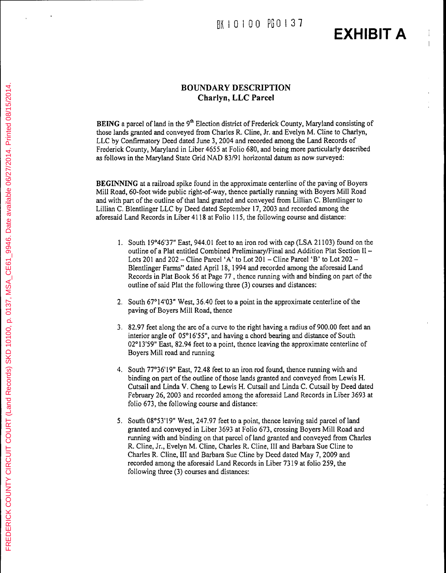#### **BOUNDARY DESCRIPTION** Charlyn, LLC Parcel

BEING a parcel of land in the 9<sup>th</sup> Election district of Frederick County, Maryland consisting of those lands granted and conveyed from Charles R. Cline, Jr. and Evelyn M. Cline to Charlyn, LLC by Confirmatory Deed dated June 3, 2004 and recorded among the Land Records of Frederick County, Maryland in Liber 4655 at Folio 680, and being more particularly described as follows in the Maryland State Grid NAD 83/91 horizontal datum as now surveyed:

BEGINNING at a railroad spike found in the approximate centerline of the paving of Boyers Mill Road, 60-foot wide public right-of-way, thence partially running with Boyers Mill Road and with part of the outline of that land granted and conveyed from Lillian C. Blentlinger to Lillian C. Blentlinger LLC by Deed dated September 17, 2003 and recorded among the aforesaid Land Records in Liber 4118 at Folio 115, the following course and distance:

- 1. South 19°46'37" East, 944.01 feet to an iron rod with cap (LSA 21103) found on the outline of a Plat entitled Combined Preliminary/Final and Addition Plat Section II -Lots 201 and 202 - Cline Parcel 'A' to Lot 201 - Cline Parcel 'B' to Lot 202 -Blentlinger Farms" dated April 18, 1994 and recorded among the aforesaid Land Records in Plat Book 56 at Page 77, thence running with and binding on part of the outline of said Plat the following three (3) courses and distances:
- 2. South 67°14'03" West, 36.40 feet to a point in the approximate centerline of the paving of Boyers Mill Road, thence
- 3. 82.97 feet along the arc of a curve to the right having a radius of 900.00 feet and an interior angle of 05°16'55", and having a chord bearing and distance of South 02°13'59" East, 82.94 feet to a point, thence leaving the approximate centerline of Boyers Mill road and running
- 4. South 77°36'19" East, 72.48 feet to an iron rod found, thence running with and binding on part of the outline of those lands granted and conveyed from Lewis H. Cutsail and Linda V. Cheng to Lewis H. Cutsail and Linda C. Cutsail by Deed dated February 26, 2003 and recorded among the aforesaid Land Records in Liber 3693 at folio 673, the following course and distance:
- 5. South 08°53'19" West, 247.97 feet to a point, thence leaving said parcel of land granted and conveyed in Liber 3693 at Folio 673, crossing Boyers Mill Road and running with and binding on that parcel of land granted and conveyed from Charles R. Cline, Jr., Evelyn M. Cline, Charles R. Cline, III and Barbara Sue Cline to Charles R. Cline, III and Barbara Sue Cline by Deed dated May 7, 2009 and recorded among the aforesaid Land Records in Liber 7319 at folio 259, the following three (3) courses and distances: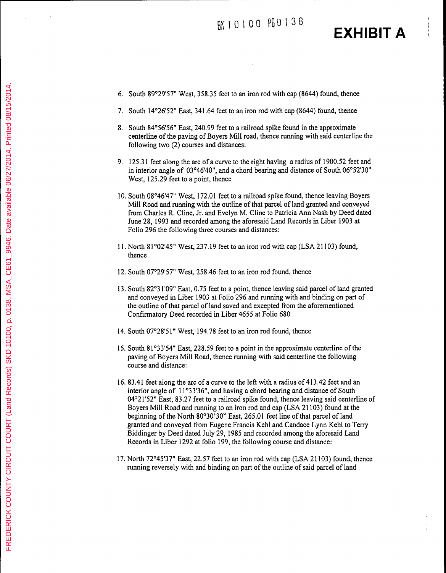- **EXHIBIT A**
- 6. South 89°29'57" West, 358.35 feet to an iron rod with cap (8644) found, thence
- 7. South 14°26'52" East, 341.64 feet to an iron rod with cap (8644) found, thence
- 8. South 84°56'56" East, 240.99 feet to a railroad spike found in the approximate centerline of the paving of Boyers Mill road, thence running with said centerline the following two (2) courses and distances:
- 9. 125.31 feet along the arc of a curve to the right having a radius of 1900.52 feet and in interior angle of 03°46'40", and a chord bearing and distance of South 06°52'30" West, 125.29 feet to a point, thence
- 10. South 08°46'47" West, 172.01 feet to a railroad spike found, thence leaving Boyers Mill Road and running with the outline of that parcel of land granted and conveyed from Charles R. Cline, Jr. and Evelyn M. Cline to Patricia Ann Nash by Deed dated June 28, 1993 and recorded among the aforesaid Land Records in Liber 1903 at Folio 296 the following three courses and distances:
- 11. North 81°02'45" West, 237.19 feet to an iron rod with cap (LSA 21103) found, thence
- 12. South 07°29'57" West, 258.46 feet to an iron rod found, thence
- 13. South 82°31'09" East, 0.75 feet to a point, thence leaving said parcel of land granted and conveyed in Liber 1903 at Folio 296 and running with and binding on part of the outline of that parcel of land saved and excepted from the aforementioned Confirmatory Deed recorded in Liber 4655 at Folio 680
- 14. South 07°28'51" West, 194.78 feet to an iron rod found, thence
- 15. South 81°33'54" East, 228.59 feet to a point in the approximate centerline of the paving of Boyers Mill Road, thence running with said centerline the following course and distance:
- 16. 83.41 feet along the arc of a curve to the left with a radius of 413.42 feet and an interior angle of 11°33'36", and having a chord bearing and distance of South 04°21'52" East, 83.27 feet to a railroad spike found, thence leaving said centerline of Boyers Mill Road and running to an iron rod and cap (LSA 21103) found at the beginning of the North 80°30'30" East, 265.01 feet line of that parcel of land granted and conveyed from Eugene Francis Kehl and Candace Lynn Kehl to Terry Biddinger by Deed dated July 29, 1985 and recorded among the aforesaid Land Records in Liber 1292 at folio 199, the following course and distance:
- 17. North 72°45'37" East, 22.57 feet to an iron rod with cap (LSA 21103) found, thence running reversely with and binding on part of the outline of said parcel of land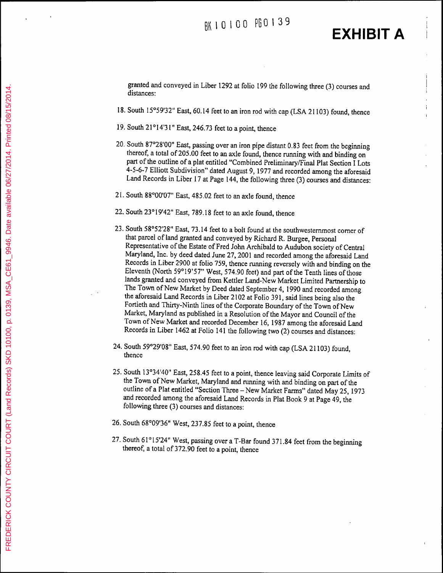## **EXHIBIT A**

granted and conveyed in Liber 1292 at folio 199 the following three (3) courses and distances:

- 18. South 15°59'32" East, 60.14 feet to an iron rod with cap (LSA 21103) found, thence
- 19. South 21°14'31" East, 246.73 feet to a point, thence
- 20. South 87°28'00" East, passing over an iron pipe distant 0.83 feet from the beginning thereof, a total of 205.00 feet to an axle found, thence running with and binding on part of the outline of a plat entitled "Combined Preliminary/Final Plat Section I Lots 4-5-6-7 Elliott Subdivision" dated August 9, 1977 and recorded among the aforesaid Land Records in Liber 17 at Page 144, the following three (3) courses and distances:
- 21. South 88°00'07" East, 485.02 feet to an axle found, thence
- 22. South 23°19'42" East, 789.18 feet to an axle found, thence
- 23. South 58°52'28" East, 73.14 feet to a bolt found at the southwesternmost corner of that parcel of land granted and conveyed by Richard R. Burgee, Personal Representative of the Estate of Fred John Archibald to Audubon society of Central Maryland, Inc. by deed dated June 27, 2001 and recorded among the aforesaid Land Records in Liber 2900 at folio 759, thence running reversely with and binding on the Eleventh (North 59°19'57" West, 574.90 feet) and part of the Tenth lines of those lands granted and conveyed from Kettler Land-New Market Limited Partnership to The Town of New Market by Deed dated September 4, 1990 and recorded among the aforesaid Land Records in Liber 2102 at Folio 391, said lines being also the Fortieth and Thirty-Ninth lines of the Corporate Boundary of the Town of New Market, Maryland as published in a Resolution of the Mayor and Council of the Town of New Market and recorded December 16, 1987 among the aforesaid Land Records in Liber 1462 at Folio 141 the following two (2) courses and distances:
- 24. South 59°29'08" East, 574.90 feet to an iron rod with cap (LSA 21103) found, thence
- 25. South 13°34'40" East, 258.45 feet to a point, thence leaving said Corporate Limits of the Town of New Market, Maryland and running with and binding on part of the outline of a Plat entitled "Section Three - New Market Farms" dated May 25, 1973 and recorded among the aforesaid Land Records in Plat Book 9 at Page 49, the following three (3) courses and distances:
- 26. South 68°09'36" West, 237.85 feet to a point, thence
- 27. South 61°15'24" West, passing over a T-Bar found 371.84 feet from the beginning thereof, a total of 372.90 feet to a point, thence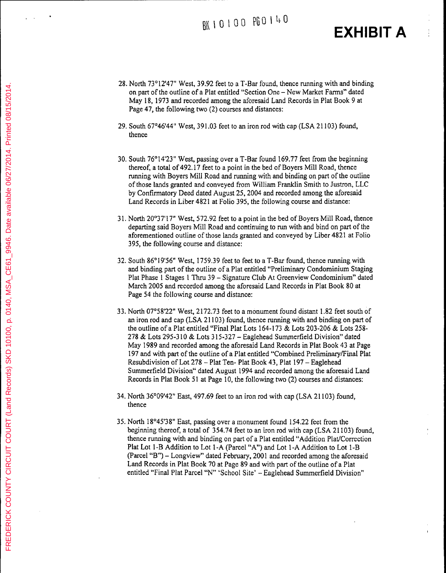- 28. North 73°12'47" West, 39.92 feet to a T-Bar found, thence running with and binding on part of the outline of a Plat entitled "Section One - New Market Farms" dated May 18, 1973 and recorded among the aforesaid Land Records in Plat Book 9 at Page 47, the following two (2) courses and distances:
- 29. South 67°46'44" West, 391.03 feet to an iron rod with cap (LSA 21103) found, thence
- 30. South 76°14'23" West, passing over a T-Bar found 169.77 feet from the beginning thereof, a total of 492.17 feet to a point in the bed of Boyers Mill Road, thence running with Boyers Mill Road and running with and binding on part of the outline of those lands granted and conveyed from William Franklin Smith to Justron, LLC by Confirmatory Deed dated August 25, 2004 and recorded among the aforesaid Land Records in Liber 4821 at Folio 395, the following course and distance:
- 31. North 20°37'17" West, 572.92 feet to a point in the bed of Boyers Mill Road, thence departing said Boyers Mill Road and continuing to run with and bind on part of the aforementioned outline of those lands granted and conveyed by Liber 4821 at Folio 395, the following course and distance:
- 32. South 86°19'56" West, 1759.39 feet to feet to a T-Bar found, thence running with and binding part of the outline of a Plat entitled "Preliminary Condominium Staging Plat Phase 1 Stages 1 Thru 39 - Signature Club At Greenview Condominium" dated March 2005 and recorded among the aforesaid Land Records in Plat Book 80 at Page 54 the following course and distance:
- 33. North 07°58'22" West, 2172.73 feet to a monument found distant 1.82 feet south of an iron rod and cap (LSA 21103) found, thence running with and binding on part of the outline of a Plat entitled "Final Plat Lots 164-173 & Lots 203-206 & Lots 258-278 & Lots 295-310 & Lots 315-327 - Eaglehead Summerfield Division" dated May 1989 and recorded among the aforesaid Land Records in Plat Book 43 at Page 197 and with part of the outline of a Plat entitled "Combined Preliminary/Final Plat Resubdivision of Lot 278 - Plat Ten- Plat Book 43, Plat 197 - Eaglehead Summerfield Division" dated August 1994 and recorded among the aforesaid Land Records in Plat Book 51 at Page 10, the following two (2) courses and distances:
- 34. North 36°09'42" East, 497.69 feet to an iron rod with cap (LSA 21103) found, thence
- 35. North 18°45'38" East, passing over a monument found 154.22 feet from the beginning thereof, a total of 354.74 feet to an iron rod with cap (LSA 21103) found, thence running with and binding on part of a Plat entitled "Addition Plat/Correction Plat Lot 1-B Addition to Lot 1-A (Parcel "A") and Lot 1-A Addition to Lot 1-B (Parcel "B") - Longview" dated February, 2001 and recorded among the aforesaid Land Records in Plat Book 70 at Page 89 and with part of the outline of a Plat entitled "Final Plat Parcel "N" 'School Site' - Eaglehead Summerfield Division"